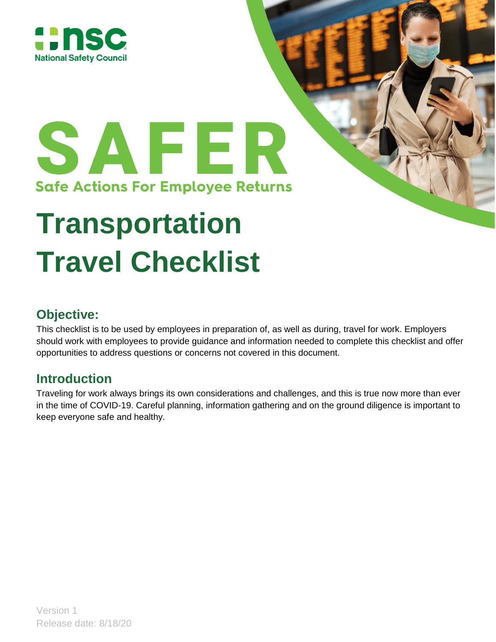

# SAFER **Safe Actions For Employee Returns**

## **Transportation Travel Checklist**

### **Objective:**

This checklist is to be used by employees in preparation of, as well as during, travel for work. Employers should work with employees to provide guidance and information needed to complete this checklist and offer opportunities to address questions or concerns not covered in this document.

## **Introduction**

Traveling for work always brings its own considerations and challenges, and this is true now more than ever in the time of COVID-19. Careful planning, information gathering and on the ground diligence is important to keep everyone safe and healthy.